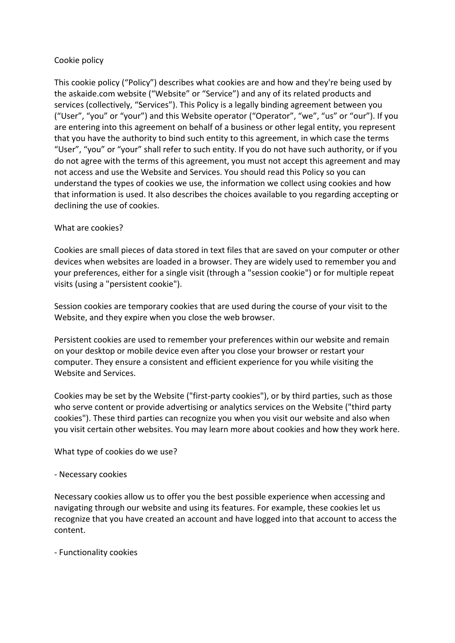# Cookie policy

This cookie policy ("Policy") describes what cookies are and how and they're being used by the askaide.com website ("Website" or "Service") and any of its related products and services (collectively, "Services"). This Policy is a legally binding agreement between you ("User", "you" or "your") and this Website operator ("Operator", "we", "us" or "our"). If you are entering into this agreement on behalf of a business or other legal entity, you represent that you have the authority to bind such entity to this agreement, in which case the terms "User", "you" or "your" shall refer to such entity. If you do not have such authority, or if you do not agree with the terms of this agreement, you must not accept this agreement and may not access and use the Website and Services. You should read this Policy so you can understand the types of cookies we use, the information we collect using cookies and how that information is used. It also describes the choices available to you regarding accepting or declining the use of cookies.

# What are cookies?

Cookies are small pieces of data stored in text files that are saved on your computer or other devices when websites are loaded in a browser. They are widely used to remember you and your preferences, either for a single visit (through a "session cookie") or for multiple repeat visits (using a "persistent cookie").

Session cookies are temporary cookies that are used during the course of your visit to the Website, and they expire when you close the web browser.

Persistent cookies are used to remember your preferences within our website and remain on your desktop or mobile device even after you close your browser or restart your computer. They ensure a consistent and efficient experience for you while visiting the Website and Services.

Cookies may be set by the Website ("first-party cookies"), or by third parties, such as those who serve content or provide advertising or analytics services on the Website ("third party cookies"). These third parties can recognize you when you visit our website and also when you visit certain other websites. You may learn more about cookies and how they work here.

What type of cookies do we use?

## - Necessary cookies

Necessary cookies allow us to offer you the best possible experience when accessing and navigating through our website and using its features. For example, these cookies let us recognize that you have created an account and have logged into that account to access the content.

- Functionality cookies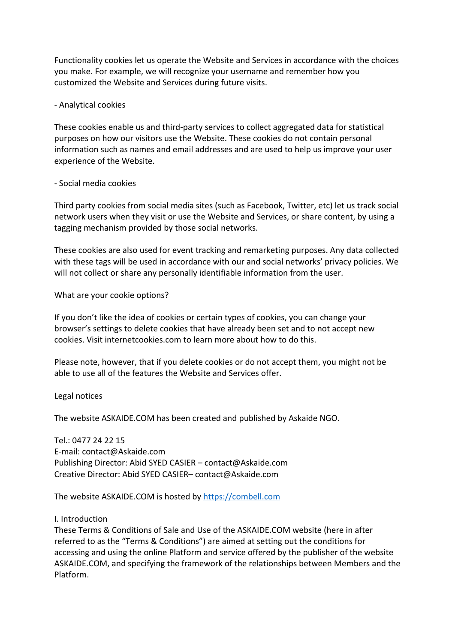Functionality cookies let us operate the Website and Services in accordance with the choices you make. For example, we will recognize your username and remember how you customized the Website and Services during future visits.

#### - Analytical cookies

These cookies enable us and third-party services to collect aggregated data for statistical purposes on how our visitors use the Website. These cookies do not contain personal information such as names and email addresses and are used to help us improve your user experience of the Website.

#### - Social media cookies

Third party cookies from social media sites (such as Facebook, Twitter, etc) let us track social network users when they visit or use the Website and Services, or share content, by using a tagging mechanism provided by those social networks.

These cookies are also used for event tracking and remarketing purposes. Any data collected with these tags will be used in accordance with our and social networks' privacy policies. We will not collect or share any personally identifiable information from the user.

What are your cookie options?

If you don't like the idea of cookies or certain types of cookies, you can change your browser's settings to delete cookies that have already been set and to not accept new cookies. Visit internetcookies.com to learn more about how to do this.

Please note, however, that if you delete cookies or do not accept them, you might not be able to use all of the features the Website and Services offer.

Legal notices

The website ASKAIDE.COM has been created and published by Askaide NGO.

Tel.: 0477 24 22 15 E-mail: contact@Askaide.com Publishing Director: Abid SYED CASIER – contact@Askaide.com Creative Director: Abid SYED CASIER– contact@Askaide.com

The website ASKAIDE.COM is hosted by https://combell.com

## I. Introduction

These Terms & Conditions of Sale and Use of the ASKAIDE.COM website (here in after referred to as the "Terms & Conditions") are aimed at setting out the conditions for accessing and using the online Platform and service offered by the publisher of the website ASKAIDE.COM, and specifying the framework of the relationships between Members and the Platform.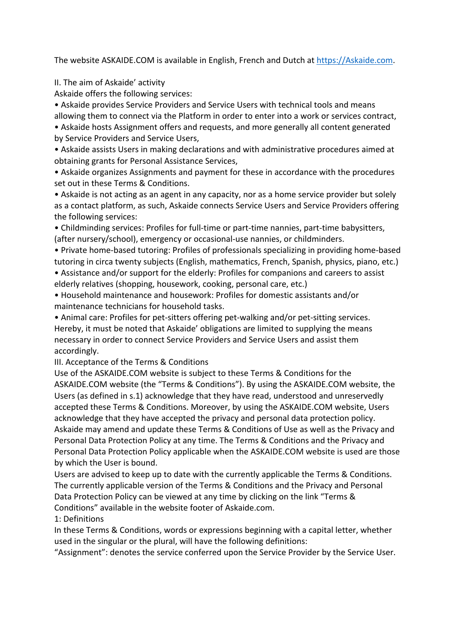The website ASKAIDE.COM is available in English, French and Dutch at https://Askaide.com.

II. The aim of Askaide' activity

Askaide offers the following services:

• Askaide provides Service Providers and Service Users with technical tools and means allowing them to connect via the Platform in order to enter into a work or services contract, • Askaide hosts Assignment offers and requests, and more generally all content generated

by Service Providers and Service Users,

• Askaide assists Users in making declarations and with administrative procedures aimed at obtaining grants for Personal Assistance Services,

• Askaide organizes Assignments and payment for these in accordance with the procedures set out in these Terms & Conditions.

• Askaide is not acting as an agent in any capacity, nor as a home service provider but solely as a contact platform, as such, Askaide connects Service Users and Service Providers offering the following services:

• Childminding services: Profiles for full-time or part-time nannies, part-time babysitters, (after nursery/school), emergency or occasional-use nannies, or childminders.

• Private home-based tutoring: Profiles of professionals specializing in providing home-based tutoring in circa twenty subjects (English, mathematics, French, Spanish, physics, piano, etc.)

• Assistance and/or support for the elderly: Profiles for companions and careers to assist elderly relatives (shopping, housework, cooking, personal care, etc.)

• Household maintenance and housework: Profiles for domestic assistants and/or maintenance technicians for household tasks.

• Animal care: Profiles for pet-sitters offering pet-walking and/or pet-sitting services. Hereby, it must be noted that Askaide' obligations are limited to supplying the means necessary in order to connect Service Providers and Service Users and assist them accordingly.

III. Acceptance of the Terms & Conditions

Use of the ASKAIDE.COM website is subject to these Terms & Conditions for the ASKAIDE.COM website (the "Terms & Conditions"). By using the ASKAIDE.COM website, the Users (as defined in s.1) acknowledge that they have read, understood and unreservedly accepted these Terms & Conditions. Moreover, by using the ASKAIDE.COM website, Users acknowledge that they have accepted the privacy and personal data protection policy. Askaide may amend and update these Terms & Conditions of Use as well as the Privacy and Personal Data Protection Policy at any time. The Terms & Conditions and the Privacy and Personal Data Protection Policy applicable when the ASKAIDE.COM website is used are those by which the User is bound.

Users are advised to keep up to date with the currently applicable the Terms & Conditions. The currently applicable version of the Terms & Conditions and the Privacy and Personal Data Protection Policy can be viewed at any time by clicking on the link "Terms & Conditions" available in the website footer of Askaide.com.

1: Definitions

In these Terms & Conditions, words or expressions beginning with a capital letter, whether used in the singular or the plural, will have the following definitions:

"Assignment": denotes the service conferred upon the Service Provider by the Service User.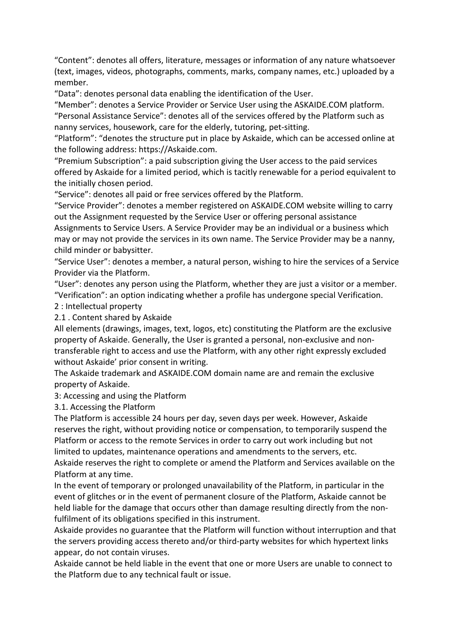"Content": denotes all offers, literature, messages or information of any nature whatsoever (text, images, videos, photographs, comments, marks, company names, etc.) uploaded by a member.

"Data": denotes personal data enabling the identification of the User.

"Member": denotes a Service Provider or Service User using the ASKAIDE.COM platform. "Personal Assistance Service": denotes all of the services offered by the Platform such as nanny services, housework, care for the elderly, tutoring, pet-sitting.

"Platform": "denotes the structure put in place by Askaide, which can be accessed online at the following address: https://Askaide.com.

"Premium Subscription": a paid subscription giving the User access to the paid services offered by Askaide for a limited period, which is tacitly renewable for a period equivalent to the initially chosen period.

"Service": denotes all paid or free services offered by the Platform.

"Service Provider": denotes a member registered on ASKAIDE.COM website willing to carry out the Assignment requested by the Service User or offering personal assistance Assignments to Service Users. A Service Provider may be an individual or a business which may or may not provide the services in its own name. The Service Provider may be a nanny, child minder or babysitter.

"Service User": denotes a member, a natural person, wishing to hire the services of a Service Provider via the Platform.

"User": denotes any person using the Platform, whether they are just a visitor or a member. "Verification": an option indicating whether a profile has undergone special Verification.

2 : Intellectual property

2.1 . Content shared by Askaide

All elements (drawings, images, text, logos, etc) constituting the Platform are the exclusive property of Askaide. Generally, the User is granted a personal, non-exclusive and nontransferable right to access and use the Platform, with any other right expressly excluded without Askaide' prior consent in writing.

The Askaide trademark and ASKAIDE.COM domain name are and remain the exclusive property of Askaide.

3: Accessing and using the Platform

3.1. Accessing the Platform

The Platform is accessible 24 hours per day, seven days per week. However, Askaide reserves the right, without providing notice or compensation, to temporarily suspend the Platform or access to the remote Services in order to carry out work including but not limited to updates, maintenance operations and amendments to the servers, etc. Askaide reserves the right to complete or amend the Platform and Services available on the Platform at any time.

In the event of temporary or prolonged unavailability of the Platform, in particular in the event of glitches or in the event of permanent closure of the Platform, Askaide cannot be held liable for the damage that occurs other than damage resulting directly from the nonfulfilment of its obligations specified in this instrument.

Askaide provides no guarantee that the Platform will function without interruption and that the servers providing access thereto and/or third-party websites for which hypertext links appear, do not contain viruses.

Askaide cannot be held liable in the event that one or more Users are unable to connect to the Platform due to any technical fault or issue.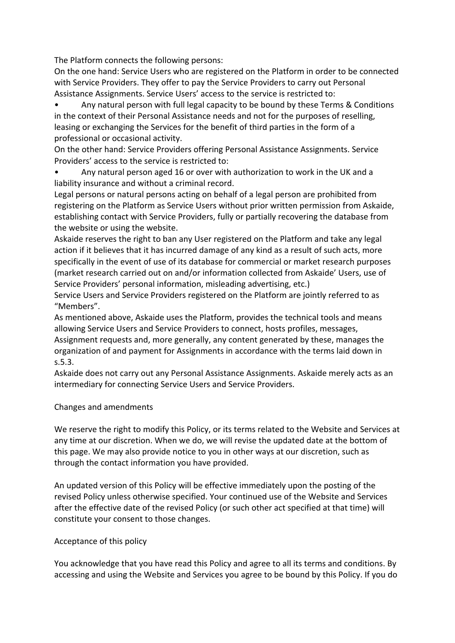The Platform connects the following persons:

On the one hand: Service Users who are registered on the Platform in order to be connected with Service Providers. They offer to pay the Service Providers to carry out Personal Assistance Assignments. Service Users' access to the service is restricted to:

• Any natural person with full legal capacity to be bound by these Terms & Conditions in the context of their Personal Assistance needs and not for the purposes of reselling, leasing or exchanging the Services for the benefit of third parties in the form of a professional or occasional activity.

On the other hand: Service Providers offering Personal Assistance Assignments. Service Providers' access to the service is restricted to:

• Any natural person aged 16 or over with authorization to work in the UK and a liability insurance and without a criminal record.

Legal persons or natural persons acting on behalf of a legal person are prohibited from registering on the Platform as Service Users without prior written permission from Askaide, establishing contact with Service Providers, fully or partially recovering the database from the website or using the website.

Askaide reserves the right to ban any User registered on the Platform and take any legal action if it believes that it has incurred damage of any kind as a result of such acts, more specifically in the event of use of its database for commercial or market research purposes (market research carried out on and/or information collected from Askaide' Users, use of Service Providers' personal information, misleading advertising, etc.)

Service Users and Service Providers registered on the Platform are jointly referred to as "Members".

As mentioned above, Askaide uses the Platform, provides the technical tools and means allowing Service Users and Service Providers to connect, hosts profiles, messages,

Assignment requests and, more generally, any content generated by these, manages the organization of and payment for Assignments in accordance with the terms laid down in s.5.3.

Askaide does not carry out any Personal Assistance Assignments. Askaide merely acts as an intermediary for connecting Service Users and Service Providers.

# Changes and amendments

We reserve the right to modify this Policy, or its terms related to the Website and Services at any time at our discretion. When we do, we will revise the updated date at the bottom of this page. We may also provide notice to you in other ways at our discretion, such as through the contact information you have provided.

An updated version of this Policy will be effective immediately upon the posting of the revised Policy unless otherwise specified. Your continued use of the Website and Services after the effective date of the revised Policy (or such other act specified at that time) will constitute your consent to those changes.

## Acceptance of this policy

You acknowledge that you have read this Policy and agree to all its terms and conditions. By accessing and using the Website and Services you agree to be bound by this Policy. If you do